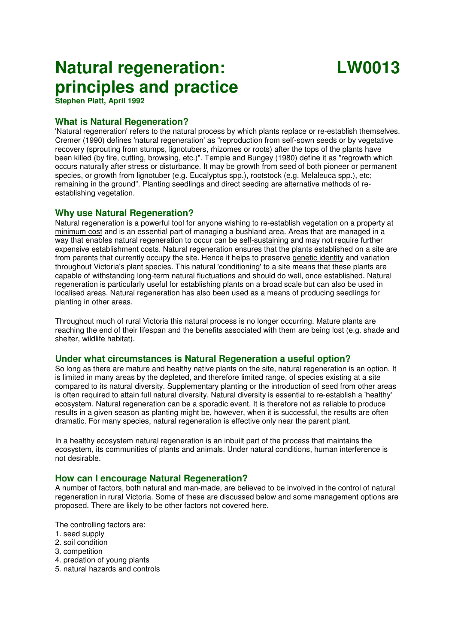# **Natural regeneration: principles and practice**

# **LW0013**

**Stephen Platt, April 1992**

# **What is Natural Regeneration?**

'Natural regeneration' refers to the natural process by which plants replace or re-establish themselves. Cremer (1990) defines 'natural regeneration' as "reproduction from self-sown seeds or by vegetative recovery (sprouting from stumps, lignotubers, rhizomes or roots) after the tops of the plants have been killed (by fire, cutting, browsing, etc.)". Temple and Bungey (1980) define it as "regrowth which occurs naturally after stress or disturbance. It may be growth from seed of both pioneer or permanent species, or growth from lignotuber (e.g. Eucalyptus spp.), rootstock (e.g. Melaleuca spp.), etc; remaining in the ground". Planting seedlings and direct seeding are alternative methods of reestablishing vegetation.

# **Why use Natural Regeneration?**

Natural regeneration is a powerful tool for anyone wishing to re-establish vegetation on a property at minimum cost and is an essential part of managing a bushland area. Areas that are managed in a way that enables natural regeneration to occur can be self-sustaining and may not require further expensive establishment costs. Natural regeneration ensures that the plants established on a site are from parents that currently occupy the site. Hence it helps to preserve genetic identity and variation throughout Victoria's plant species. This natural 'conditioning' to a site means that these plants are capable of withstanding long-term natural fluctuations and should do well, once established. Natural regeneration is particularly useful for establishing plants on a broad scale but can also be used in localised areas. Natural regeneration has also been used as a means of producing seedlings for planting in other areas.

Throughout much of rural Victoria this natural process is no longer occurring. Mature plants are reaching the end of their lifespan and the benefits associated with them are being lost (e.g. shade and shelter, wildlife habitat).

# **Under what circumstances is Natural Regeneration a useful option?**

So long as there are mature and healthy native plants on the site, natural regeneration is an option. It is limited in many areas by the depleted, and therefore limited range, of species existing at a site compared to its natural diversity. Supplementary planting or the introduction of seed from other areas is often required to attain full natural diversity. Natural diversity is essential to re-establish a 'healthy' ecosystem. Natural regeneration can be a sporadic event. It is therefore not as reliable to produce results in a given season as planting might be, however, when it is successful, the results are often dramatic. For many species, natural regeneration is effective only near the parent plant.

In a healthy ecosystem natural regeneration is an inbuilt part of the process that maintains the ecosystem, its communities of plants and animals. Under natural conditions, human interference is not desirable.

# **How can I encourage Natural Regeneration?**

A number of factors, both natural and man-made, are believed to be involved in the control of natural regeneration in rural Victoria. Some of these are discussed below and some management options are proposed. There are likely to be other factors not covered here.

The controlling factors are:

- 1. seed supply
- 2. soil condition
- 3. competition
- 4. predation of young plants
- 5. natural hazards and controls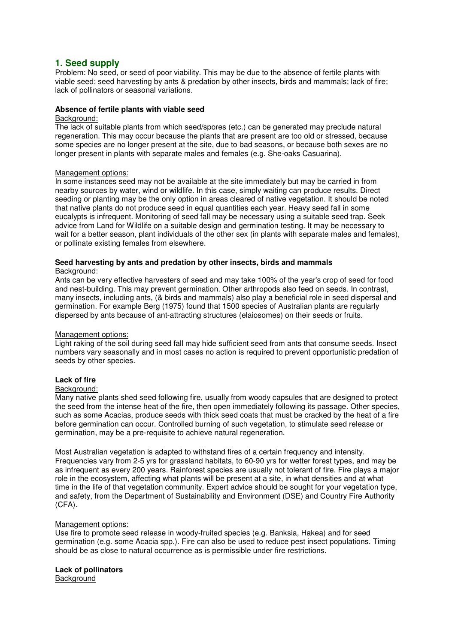# **1. Seed supply**

Problem: No seed, or seed of poor viability. This may be due to the absence of fertile plants with viable seed; seed harvesting by ants & predation by other insects, birds and mammals; lack of fire; lack of pollinators or seasonal variations.

# **Absence of fertile plants with viable seed**

# Background:

The lack of suitable plants from which seed/spores (etc.) can be generated may preclude natural regeneration. This may occur because the plants that are present are too old or stressed, because some species are no longer present at the site, due to bad seasons, or because both sexes are no longer present in plants with separate males and females (e.g. She-oaks Casuarina).

# Management options:

In some instances seed may not be available at the site immediately but may be carried in from nearby sources by water, wind or wildlife. In this case, simply waiting can produce results. Direct seeding or planting may be the only option in areas cleared of native vegetation. It should be noted that native plants do not produce seed in equal quantities each year. Heavy seed fall in some eucalypts is infrequent. Monitoring of seed fall may be necessary using a suitable seed trap. Seek advice from Land for Wildlife on a suitable design and germination testing. It may be necessary to wait for a better season, plant individuals of the other sex (in plants with separate males and females), or pollinate existing females from elsewhere.

# **Seed harvesting by ants and predation by other insects, birds and mammals**  Background:

Ants can be very effective harvesters of seed and may take 100% of the year's crop of seed for food and nest-building. This may prevent germination. Other arthropods also feed on seeds. In contrast, many insects, including ants, (& birds and mammals) also play a beneficial role in seed dispersal and germination. For example Berg (1975) found that 1500 species of Australian plants are regularly dispersed by ants because of ant-attracting structures (elaiosomes) on their seeds or fruits.

# Management options:

Light raking of the soil during seed fall may hide sufficient seed from ants that consume seeds. Insect numbers vary seasonally and in most cases no action is required to prevent opportunistic predation of seeds by other species.

# **Lack of fire**

# Background:

Many native plants shed seed following fire, usually from woody capsules that are designed to protect the seed from the intense heat of the fire, then open immediately following its passage. Other species, such as some Acacias, produce seeds with thick seed coats that must be cracked by the heat of a fire before germination can occur. Controlled burning of such vegetation, to stimulate seed release or germination, may be a pre-requisite to achieve natural regeneration.

Most Australian vegetation is adapted to withstand fires of a certain frequency and intensity. Frequencies vary from 2-5 yrs for grassland habitats, to 60-90 yrs for wetter forest types, and may be as infrequent as every 200 years. Rainforest species are usually not tolerant of fire. Fire plays a major role in the ecosystem, affecting what plants will be present at a site, in what densities and at what time in the life of that vegetation community. Expert advice should be sought for your vegetation type, and safety, from the Department of Sustainability and Environment (DSE) and Country Fire Authority (CFA).

# Management options:

Use fire to promote seed release in woody-fruited species (e.g. Banksia, Hakea) and for seed germination (e.g. some Acacia spp.). Fire can also be used to reduce pest insect populations. Timing should be as close to natural occurrence as is permissible under fire restrictions.

# **Lack of pollinators**

**Background**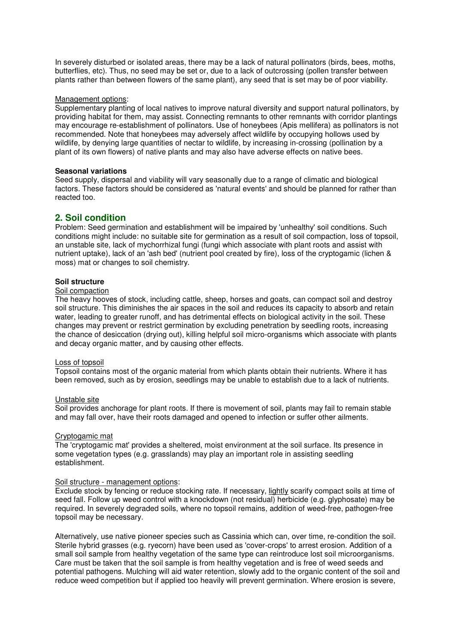In severely disturbed or isolated areas, there may be a lack of natural pollinators (birds, bees, moths, butterflies, etc). Thus, no seed may be set or, due to a lack of outcrossing (pollen transfer between plants rather than between flowers of the same plant), any seed that is set may be of poor viability.

# Management options:

Supplementary planting of local natives to improve natural diversity and support natural pollinators, by providing habitat for them, may assist. Connecting remnants to other remnants with corridor plantings may encourage re-establishment of pollinators. Use of honeybees (Apis mellifera) as pollinators is not recommended. Note that honeybees may adversely affect wildlife by occupying hollows used by wildlife, by denying large quantities of nectar to wildlife, by increasing in-crossing (pollination by a plant of its own flowers) of native plants and may also have adverse effects on native bees.

#### **Seasonal variations**

Seed supply, dispersal and viability will vary seasonally due to a range of climatic and biological factors. These factors should be considered as 'natural events' and should be planned for rather than reacted too.

# **2. Soil condition**

Problem: Seed germination and establishment will be impaired by 'unhealthy' soil conditions. Such conditions might include: no suitable site for germination as a result of soil compaction, loss of topsoil, an unstable site, lack of mychorrhizal fungi (fungi which associate with plant roots and assist with nutrient uptake), lack of an 'ash bed' (nutrient pool created by fire), loss of the cryptogamic (lichen & moss) mat or changes to soil chemistry.

# **Soil structure**

#### Soil compaction

The heavy hooves of stock, including cattle, sheep, horses and goats, can compact soil and destroy soil structure. This diminishes the air spaces in the soil and reduces its capacity to absorb and retain water, leading to greater runoff, and has detrimental effects on biological activity in the soil. These changes may prevent or restrict germination by excluding penetration by seedling roots, increasing the chance of desiccation (drying out), killing helpful soil micro-organisms which associate with plants and decay organic matter, and by causing other effects.

#### Loss of topsoil

Topsoil contains most of the organic material from which plants obtain their nutrients. Where it has been removed, such as by erosion, seedlings may be unable to establish due to a lack of nutrients.

#### Unstable site

Soil provides anchorage for plant roots. If there is movement of soil, plants may fail to remain stable and may fall over, have their roots damaged and opened to infection or suffer other ailments.

#### Cryptogamic mat

The 'cryptogamic mat' provides a sheltered, moist environment at the soil surface. Its presence in some vegetation types (e.g. grasslands) may play an important role in assisting seedling establishment.

# Soil structure - management options:

Exclude stock by fencing or reduce stocking rate. If necessary, lightly scarify compact soils at time of seed fall. Follow up weed control with a knockdown (not residual) herbicide (e.g. glyphosate) may be required. In severely degraded soils, where no topsoil remains, addition of weed-free, pathogen-free topsoil may be necessary.

Alternatively, use native pioneer species such as Cassinia which can, over time, re-condition the soil. Sterile hybrid grasses (e.g. ryecorn) have been used as 'cover-crops' to arrest erosion. Addition of a small soil sample from healthy vegetation of the same type can reintroduce lost soil microorganisms. Care must be taken that the soil sample is from healthy vegetation and is free of weed seeds and potential pathogens. Mulching will aid water retention, slowly add to the organic content of the soil and reduce weed competition but if applied too heavily will prevent germination. Where erosion is severe,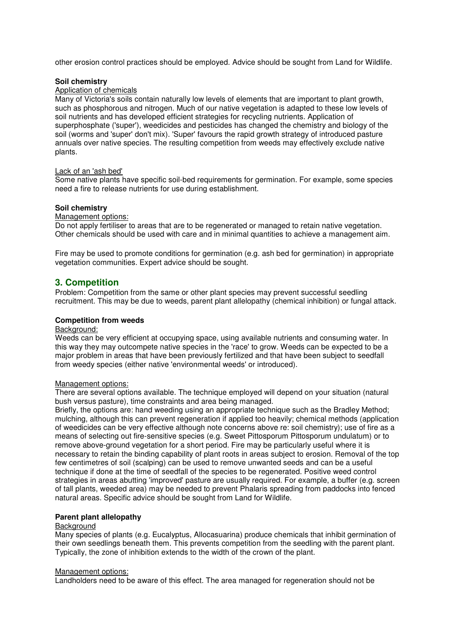other erosion control practices should be employed. Advice should be sought from Land for Wildlife.

### **Soil chemistry**

# Application of chemicals

Many of Victoria's soils contain naturally low levels of elements that are important to plant growth, such as phosphorous and nitrogen. Much of our native vegetation is adapted to these low levels of soil nutrients and has developed efficient strategies for recycling nutrients. Application of superphosphate ('super'), weedicides and pesticides has changed the chemistry and biology of the soil (worms and 'super' don't mix). 'Super' favours the rapid growth strategy of introduced pasture annuals over native species. The resulting competition from weeds may effectively exclude native plants.

### Lack of an 'ash bed'

Some native plants have specific soil-bed requirements for germination. For example, some species need a fire to release nutrients for use during establishment.

# **Soil chemistry**

Management options:

Do not apply fertiliser to areas that are to be regenerated or managed to retain native vegetation. Other chemicals should be used with care and in minimal quantities to achieve a management aim.

Fire may be used to promote conditions for germination (e.g. ash bed for germination) in appropriate vegetation communities. Expert advice should be sought.

# **3. Competition**

Problem: Competition from the same or other plant species may prevent successful seedling recruitment. This may be due to weeds, parent plant allelopathy (chemical inhibition) or fungal attack.

#### **Competition from weeds**

#### Background:

Weeds can be very efficient at occupying space, using available nutrients and consuming water. In this way they may outcompete native species in the 'race' to grow. Weeds can be expected to be a major problem in areas that have been previously fertilized and that have been subject to seedfall from weedy species (either native 'environmental weeds' or introduced).

#### Management options:

There are several options available. The technique employed will depend on your situation (natural bush versus pasture), time constraints and area being managed.

Briefly, the options are: hand weeding using an appropriate technique such as the Bradley Method; mulching, although this can prevent regeneration if applied too heavily; chemical methods (application of weedicides can be very effective although note concerns above re: soil chemistry); use of fire as a means of selecting out fire-sensitive species (e.g. Sweet Pittosporum Pittosporum undulatum) or to remove above-ground vegetation for a short period. Fire may be particularly useful where it is necessary to retain the binding capability of plant roots in areas subject to erosion. Removal of the top few centimetres of soil (scalping) can be used to remove unwanted seeds and can be a useful technique if done at the time of seedfall of the species to be regenerated. Positive weed control strategies in areas abutting 'improved' pasture are usually required. For example, a buffer (e.g. screen of tall plants, weeded area) may be needed to prevent Phalaris spreading from paddocks into fenced natural areas. Specific advice should be sought from Land for Wildlife.

# **Parent plant allelopathy**

# **Background**

Many species of plants (e.g. Eucalyptus, Allocasuarina) produce chemicals that inhibit germination of their own seedlings beneath them. This prevents competition from the seedling with the parent plant. Typically, the zone of inhibition extends to the width of the crown of the plant.

#### Management options:

Landholders need to be aware of this effect. The area managed for regeneration should not be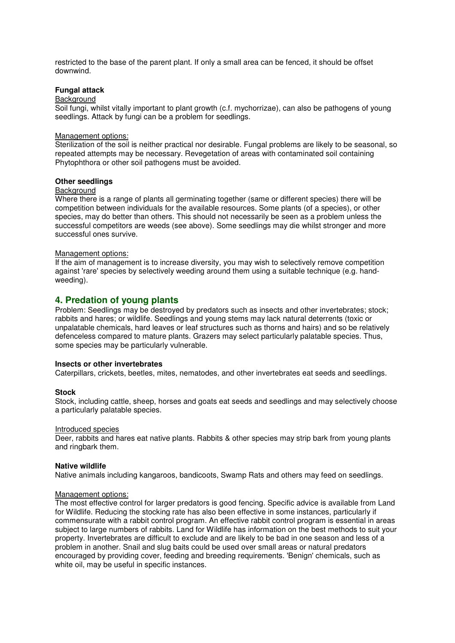restricted to the base of the parent plant. If only a small area can be fenced, it should be offset downwind.

# **Fungal attack**

# **Background**

Soil fungi, whilst vitally important to plant growth (c.f. mychorrizae), can also be pathogens of young seedlings. Attack by fungi can be a problem for seedlings.

#### Management options:

Sterilization of the soil is neither practical nor desirable. Fungal problems are likely to be seasonal, so repeated attempts may be necessary. Revegetation of areas with contaminated soil containing Phytophthora or other soil pathogens must be avoided.

#### **Other seedlings**

# **Background**

Where there is a range of plants all germinating together (same or different species) there will be competition between individuals for the available resources. Some plants (of a species), or other species, may do better than others. This should not necessarily be seen as a problem unless the successful competitors are weeds (see above). Some seedlings may die whilst stronger and more successful ones survive.

#### Management options:

If the aim of management is to increase diversity, you may wish to selectively remove competition against 'rare' species by selectively weeding around them using a suitable technique (e.g. handweeding).

# **4. Predation of young plants**

Problem: Seedlings may be destroyed by predators such as insects and other invertebrates; stock; rabbits and hares; or wildlife. Seedlings and young stems may lack natural deterrents (toxic or unpalatable chemicals, hard leaves or leaf structures such as thorns and hairs) and so be relatively defenceless compared to mature plants. Grazers may select particularly palatable species. Thus, some species may be particularly vulnerable.

# **Insects or other invertebrates**

Caterpillars, crickets, beetles, mites, nematodes, and other invertebrates eat seeds and seedlings.

#### **Stock**

Stock, including cattle, sheep, horses and goats eat seeds and seedlings and may selectively choose a particularly palatable species.

#### Introduced species

Deer, rabbits and hares eat native plants. Rabbits & other species may strip bark from young plants and ringbark them.

#### **Native wildlife**

Native animals including kangaroos, bandicoots, Swamp Rats and others may feed on seedlings.

#### Management options:

The most effective control for larger predators is good fencing. Specific advice is available from Land for Wildlife. Reducing the stocking rate has also been effective in some instances, particularly if commensurate with a rabbit control program. An effective rabbit control program is essential in areas subject to large numbers of rabbits. Land for Wildlife has information on the best methods to suit your property. Invertebrates are difficult to exclude and are likely to be bad in one season and less of a problem in another. Snail and slug baits could be used over small areas or natural predators encouraged by providing cover, feeding and breeding requirements. 'Benign' chemicals, such as white oil, may be useful in specific instances.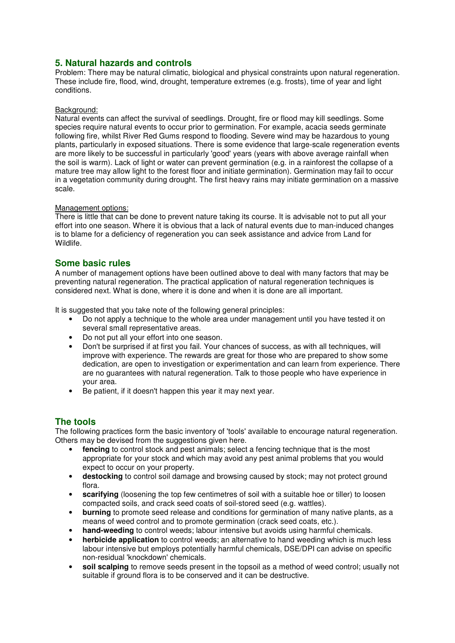# **5. Natural hazards and controls**

Problem: There may be natural climatic, biological and physical constraints upon natural regeneration. These include fire, flood, wind, drought, temperature extremes (e.g. frosts), time of year and light conditions.

# Background:

Natural events can affect the survival of seedlings. Drought, fire or flood may kill seedlings. Some species require natural events to occur prior to germination. For example, acacia seeds germinate following fire, whilst River Red Gums respond to flooding. Severe wind may be hazardous to young plants, particularly in exposed situations. There is some evidence that large-scale regeneration events are more likely to be successful in particularly 'good' years (years with above average rainfall when the soil is warm). Lack of light or water can prevent germination (e.g. in a rainforest the collapse of a mature tree may allow light to the forest floor and initiate germination). Germination may fail to occur in a vegetation community during drought. The first heavy rains may initiate germination on a massive scale.

# Management options:

There is little that can be done to prevent nature taking its course. It is advisable not to put all your effort into one season. Where it is obvious that a lack of natural events due to man-induced changes is to blame for a deficiency of regeneration you can seek assistance and advice from Land for Wildlife.

# **Some basic rules**

A number of management options have been outlined above to deal with many factors that may be preventing natural regeneration. The practical application of natural regeneration techniques is considered next. What is done, where it is done and when it is done are all important.

It is suggested that you take note of the following general principles:

- Do not apply a technique to the whole area under management until you have tested it on several small representative areas.
- Do not put all your effort into one season.<br>• Don't be surprised if at first you fail Your of
- Don't be surprised if at first you fail. Your chances of success, as with all techniques, will improve with experience. The rewards are great for those who are prepared to show some dedication, are open to investigation or experimentation and can learn from experience. There are no guarantees with natural regeneration. Talk to those people who have experience in your area.
- Be patient, if it doesn't happen this year it may next year.

# **The tools**

The following practices form the basic inventory of 'tools' available to encourage natural regeneration. Others may be devised from the suggestions given here.

- fencing to control stock and pest animals; select a fencing technique that is the most appropriate for your stock and which may avoid any pest animal problems that you would expect to occur on your property.
- **destocking** to control soil damage and browsing caused by stock; may not protect ground flora.
- **scarifying** (loosening the top few centimetres of soil with a suitable hoe or tiller) to loosen compacted soils, and crack seed coats of soil-stored seed (e.g. wattles).
- **burning** to promote seed release and conditions for germination of many native plants, as a means of weed control and to promote germination (crack seed coats, etc.).
- **hand-weeding** to control weeds; labour intensive but avoids using harmful chemicals.
- **herbicide application** to control weeds; an alternative to hand weeding which is much less labour intensive but employs potentially harmful chemicals, DSE/DPI can advise on specific non-residual 'knockdown' chemicals.
- **soil scalping** to remove seeds present in the topsoil as a method of weed control; usually not suitable if ground flora is to be conserved and it can be destructive.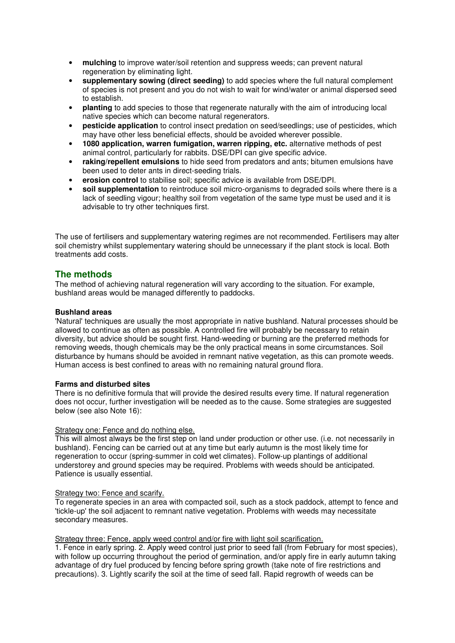- **mulching** to improve water/soil retention and suppress weeds; can prevent natural regeneration by eliminating light.
- **supplementary sowing (direct seeding)** to add species where the full natural complement of species is not present and you do not wish to wait for wind/water or animal dispersed seed to establish.
- **planting** to add species to those that regenerate naturally with the aim of introducing local native species which can become natural regenerators.
- **pesticide application** to control insect predation on seed/seedlings; use of pesticides, which may have other less beneficial effects, should be avoided wherever possible.
- **1080 application, warren fumigation, warren ripping, etc.** alternative methods of pest animal control, particularly for rabbits. DSE/DPI can give specific advice.
- **raking/repellent emulsions** to hide seed from predators and ants; bitumen emulsions have been used to deter ants in direct-seeding trials.
- **erosion control** to stabilise soil; specific advice is available from DSE/DPI.
- **soil supplementation** to reintroduce soil micro-organisms to degraded soils where there is a lack of seedling vigour; healthy soil from vegetation of the same type must be used and it is advisable to try other techniques first.

The use of fertilisers and supplementary watering regimes are not recommended. Fertilisers may alter soil chemistry whilst supplementary watering should be unnecessary if the plant stock is local. Both treatments add costs.

# **The methods**

The method of achieving natural regeneration will vary according to the situation. For example, bushland areas would be managed differently to paddocks.

# **Bushland areas**

'Natural' techniques are usually the most appropriate in native bushland. Natural processes should be allowed to continue as often as possible. A controlled fire will probably be necessary to retain diversity, but advice should be sought first. Hand-weeding or burning are the preferred methods for removing weeds, though chemicals may be the only practical means in some circumstances. Soil disturbance by humans should be avoided in remnant native vegetation, as this can promote weeds. Human access is best confined to areas with no remaining natural ground flora.

# **Farms and disturbed sites**

There is no definitive formula that will provide the desired results every time. If natural regeneration does not occur, further investigation will be needed as to the cause. Some strategies are suggested below (see also Note 16):

# Strategy one: Fence and do nothing else.

This will almost always be the first step on land under production or other use. (i.e. not necessarily in bushland). Fencing can be carried out at any time but early autumn is the most likely time for regeneration to occur (spring-summer in cold wet climates). Follow-up plantings of additional understorey and ground species may be required. Problems with weeds should be anticipated. Patience is usually essential.

# Strategy two: Fence and scarify.

To regenerate species in an area with compacted soil, such as a stock paddock, attempt to fence and 'tickle-up' the soil adjacent to remnant native vegetation. Problems with weeds may necessitate secondary measures.

# Strategy three: Fence, apply weed control and/or fire with light soil scarification.

1. Fence in early spring. 2. Apply weed control just prior to seed fall (from February for most species), with follow up occurring throughout the period of germination, and/or apply fire in early autumn taking advantage of dry fuel produced by fencing before spring growth (take note of fire restrictions and precautions). 3. Lightly scarify the soil at the time of seed fall. Rapid regrowth of weeds can be